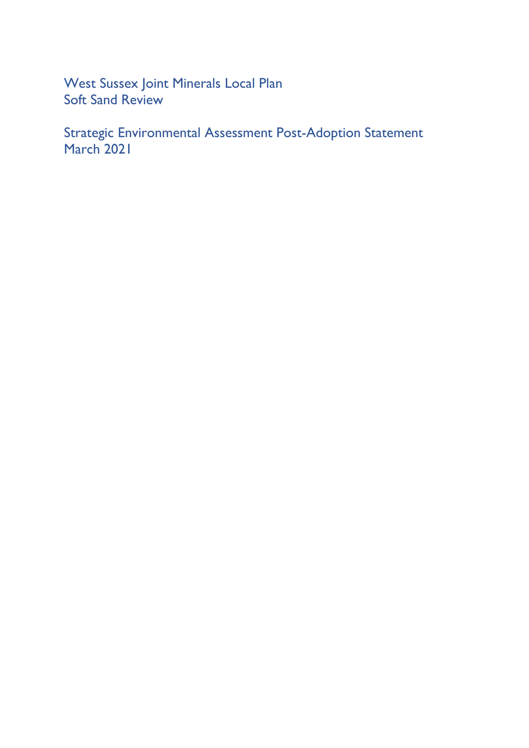West Sussex Joint Minerals Local Plan Soft Sand Review

Strategic Environmental Assessment Post-Adoption Statement March 2021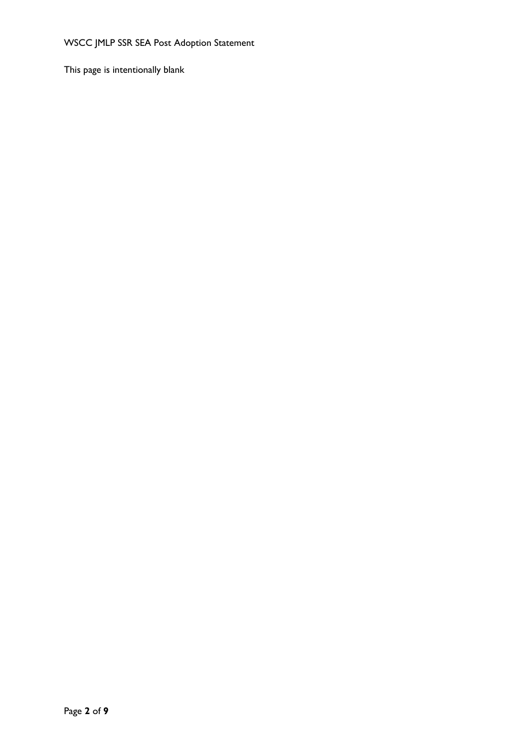WSCC JMLP SSR SEA Post Adoption Statement

This page is intentionally blank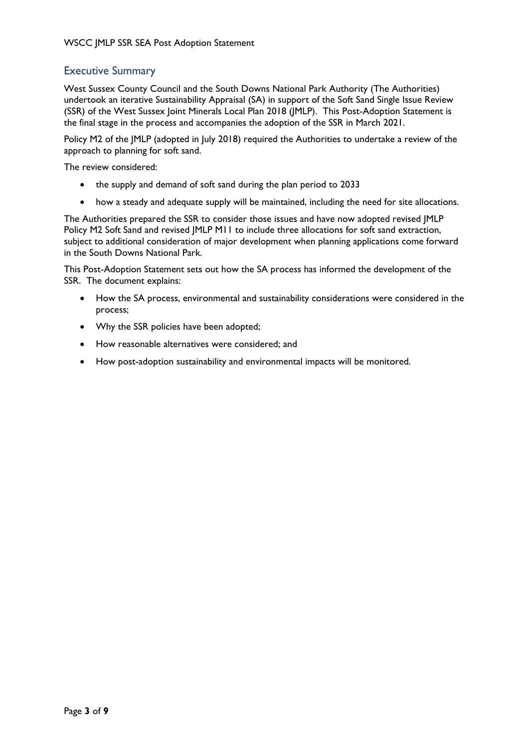# Executive Summary

West Sussex County Council and the South Downs National Park Authority (The Authorities) undertook an iterative Sustainability Appraisal (SA) in support of the Soft Sand Single Issue Review (SSR) of the West Sussex Joint Minerals Local Plan 2018 (JMLP). This Post-Adoption Statement is the final stage in the process and accompanies the adoption of the SSR in March 2021.

Policy M2 of the JMLP (adopted in July 2018) required the Authorities to undertake a review of the approach to planning for soft sand.

The review considered:

- the supply and demand of soft sand during the plan period to 2033
- how a steady and adequate supply will be maintained, including the need for site allocations.

The Authorities prepared the SSR to consider those issues and have now adopted revised JMLP Policy M2 Soft Sand and revised JMLP M11 to include three allocations for soft sand extraction, subject to additional consideration of major development when planning applications come forward in the South Downs National Park.

This Post-Adoption Statement sets out how the SA process has informed the development of the SSR. The document explains:

- How the SA process, environmental and sustainability considerations were considered in the process;
- Why the SSR policies have been adopted;
- How reasonable alternatives were considered; and
- How post-adoption sustainability and environmental impacts will be monitored.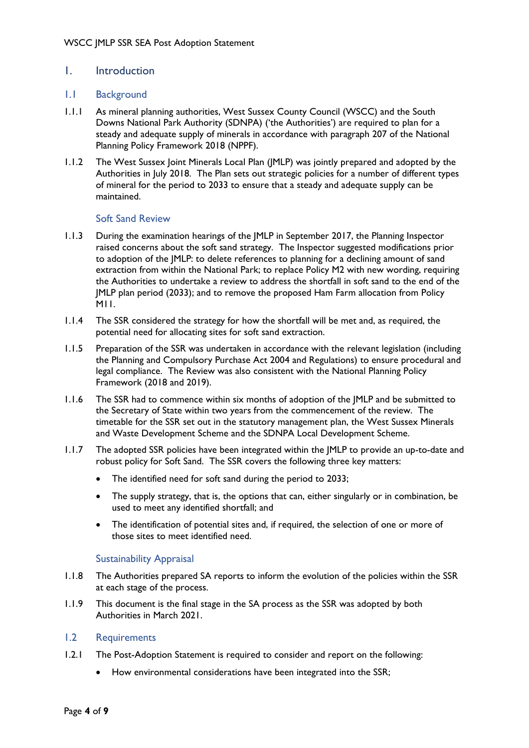## 1. Introduction

#### 1.1 Background

- 1.1.1 As mineral planning authorities, West Sussex County Council (WSCC) and the South Downs National Park Authority (SDNPA) ('the Authorities') are required to plan for a steady and adequate supply of minerals in accordance with paragraph 207 of the National Planning Policy Framework 2018 (NPPF).
- 1.1.2 The West Sussex Joint Minerals Local Plan (JMLP) was jointly prepared and adopted by the Authorities in July 2018. The Plan sets out strategic policies for a number of different types of mineral for the period to 2033 to ensure that a steady and adequate supply can be maintained.

#### Soft Sand Review

- 1.1.3 During the examination hearings of the JMLP in September 2017, the Planning Inspector raised concerns about the soft sand strategy. The Inspector suggested modifications prior to adoption of the JMLP: to delete references to planning for a declining amount of sand extraction from within the National Park; to replace Policy M2 with new wording, requiring the Authorities to undertake a review to address the shortfall in soft sand to the end of the JMLP plan period (2033); and to remove the proposed Ham Farm allocation from Policy M11.
- 1.1.4 The SSR considered the strategy for how the shortfall will be met and, as required, the potential need for allocating sites for soft sand extraction.
- 1.1.5 Preparation of the SSR was undertaken in accordance with the relevant legislation (including the Planning and Compulsory Purchase Act 2004 and Regulations) to ensure procedural and legal compliance. The Review was also consistent with the National Planning Policy Framework (2018 and 2019).
- 1.1.6 The SSR had to commence within six months of adoption of the JMLP and be submitted to the Secretary of State within two years from the commencement of the review. The timetable for the SSR set out in the statutory management plan, the West Sussex Minerals and Waste Development Scheme and the SDNPA Local Development Scheme.
- 1.1.7 The adopted SSR policies have been integrated within the JMLP to provide an up-to-date and robust policy for Soft Sand. The SSR covers the following three key matters:
	- The identified need for soft sand during the period to 2033;
	- The supply strategy, that is, the options that can, either singularly or in combination, be used to meet any identified shortfall; and
	- The identification of potential sites and, if required, the selection of one or more of those sites to meet identified need.

### Sustainability Appraisal

- 1.1.8 The Authorities prepared SA reports to inform the evolution of the policies within the SSR at each stage of the process.
- 1.1.9 This document is the final stage in the SA process as the SSR was adopted by both Authorities in March 2021.

### 1.2 Requirements

- 1.2.1 The Post-Adoption Statement is required to consider and report on the following:
	- How environmental considerations have been integrated into the SSR;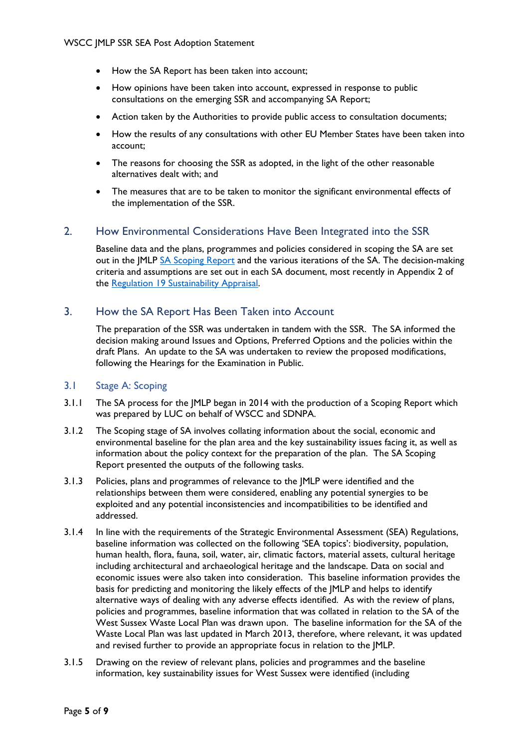- How the SA Report has been taken into account;
- How opinions have been taken into account, expressed in response to public consultations on the emerging SSR and accompanying SA Report;
- Action taken by the Authorities to provide public access to consultation documents;
- How the results of any consultations with other EU Member States have been taken into account;
- The reasons for choosing the SSR as adopted, in the light of the other reasonable alternatives dealt with; and
- The measures that are to be taken to monitor the significant environmental effects of the implementation of the SSR.

## 2. How Environmental Considerations Have Been Integrated into the SSR

Baseline data and the plans, programmes and policies considered in scoping the SA are set out in the JMLP [SA Scoping Report](http://www2.westsussex.gov.uk/ssr/ssr_osd_014.pdf) and the various iterations of the SA. The decision-making criteria and assumptions are set out in each SA document, most recently in Appendix 2 of the [Regulation 19 Sustainability Appraisal.](http://www2.westsussex.gov.uk/ssr/ssr_csd_002.pdf)

## 3. How the SA Report Has Been Taken into Account

The preparation of the SSR was undertaken in tandem with the SSR. The SA informed the decision making around Issues and Options, Preferred Options and the policies within the draft Plans. An update to the SA was undertaken to review the proposed modifications, following the Hearings for the Examination in Public.

### 3.1 Stage A: Scoping

- 3.1.1 The SA process for the JMLP began in 2014 with the production of a Scoping Report which was prepared by LUC on behalf of WSCC and SDNPA.
- 3.1.2 The Scoping stage of SA involves collating information about the social, economic and environmental baseline for the plan area and the key sustainability issues facing it, as well as information about the policy context for the preparation of the plan. The SA Scoping Report presented the outputs of the following tasks.
- 3.1.3 Policies, plans and programmes of relevance to the JMLP were identified and the relationships between them were considered, enabling any potential synergies to be exploited and any potential inconsistencies and incompatibilities to be identified and addressed.
- 3.1.4 In line with the requirements of the Strategic Environmental Assessment (SEA) Regulations, baseline information was collected on the following 'SEA topics': biodiversity, population, human health, flora, fauna, soil, water, air, climatic factors, material assets, cultural heritage including architectural and archaeological heritage and the landscape. Data on social and economic issues were also taken into consideration. This baseline information provides the basis for predicting and monitoring the likely effects of the JMLP and helps to identify alternative ways of dealing with any adverse effects identified. As with the review of plans, policies and programmes, baseline information that was collated in relation to the SA of the West Sussex Waste Local Plan was drawn upon. The baseline information for the SA of the Waste Local Plan was last updated in March 2013, therefore, where relevant, it was updated and revised further to provide an appropriate focus in relation to the JMLP.
- 3.1.5 Drawing on the review of relevant plans, policies and programmes and the baseline information, key sustainability issues for West Sussex were identified (including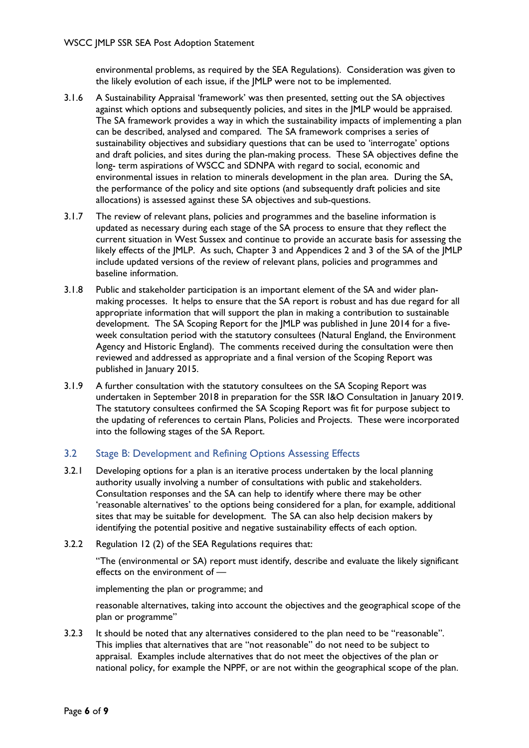environmental problems, as required by the SEA Regulations). Consideration was given to the likely evolution of each issue, if the JMLP were not to be implemented.

- 3.1.6 A Sustainability Appraisal 'framework' was then presented, setting out the SA objectives against which options and subsequently policies, and sites in the JMLP would be appraised. The SA framework provides a way in which the sustainability impacts of implementing a plan can be described, analysed and compared. The SA framework comprises a series of sustainability objectives and subsidiary questions that can be used to 'interrogate' options and draft policies, and sites during the plan-making process. These SA objectives define the long- term aspirations of WSCC and SDNPA with regard to social, economic and environmental issues in relation to minerals development in the plan area. During the SA, the performance of the policy and site options (and subsequently draft policies and site allocations) is assessed against these SA objectives and sub-questions.
- 3.1.7 The review of relevant plans, policies and programmes and the baseline information is updated as necessary during each stage of the SA process to ensure that they reflect the current situation in West Sussex and continue to provide an accurate basis for assessing the likely effects of the JMLP. As such, Chapter 3 and Appendices 2 and 3 of the SA of the JMLP include updated versions of the review of relevant plans, policies and programmes and baseline information.
- 3.1.8 Public and stakeholder participation is an important element of the SA and wider planmaking processes. It helps to ensure that the SA report is robust and has due regard for all appropriate information that will support the plan in making a contribution to sustainable development. The SA Scoping Report for the JMLP was published in June 2014 for a fiveweek consultation period with the statutory consultees (Natural England, the Environment Agency and Historic England). The comments received during the consultation were then reviewed and addressed as appropriate and a final version of the Scoping Report was published in January 2015.
- 3.1.9 A further consultation with the statutory consultees on the SA Scoping Report was undertaken in September 2018 in preparation for the SSR I&O Consultation in January 2019. The statutory consultees confirmed the SA Scoping Report was fit for purpose subject to the updating of references to certain Plans, Policies and Projects. These were incorporated into the following stages of the SA Report.

### 3.2 Stage B: Development and Refining Options Assessing Effects

- 3.2.1 Developing options for a plan is an iterative process undertaken by the local planning authority usually involving a number of consultations with public and stakeholders. Consultation responses and the SA can help to identify where there may be other 'reasonable alternatives' to the options being considered for a plan, for example, additional sites that may be suitable for development. The SA can also help decision makers by identifying the potential positive and negative sustainability effects of each option.
- 3.2.2 Regulation 12 (2) of the SEA Regulations requires that:

"The (environmental or SA) report must identify, describe and evaluate the likely significant effects on the environment of —

implementing the plan or programme; and

reasonable alternatives, taking into account the objectives and the geographical scope of the plan or programme"

3.2.3 It should be noted that any alternatives considered to the plan need to be "reasonable". This implies that alternatives that are "not reasonable" do not need to be subject to appraisal. Examples include alternatives that do not meet the objectives of the plan or national policy, for example the NPPF, or are not within the geographical scope of the plan.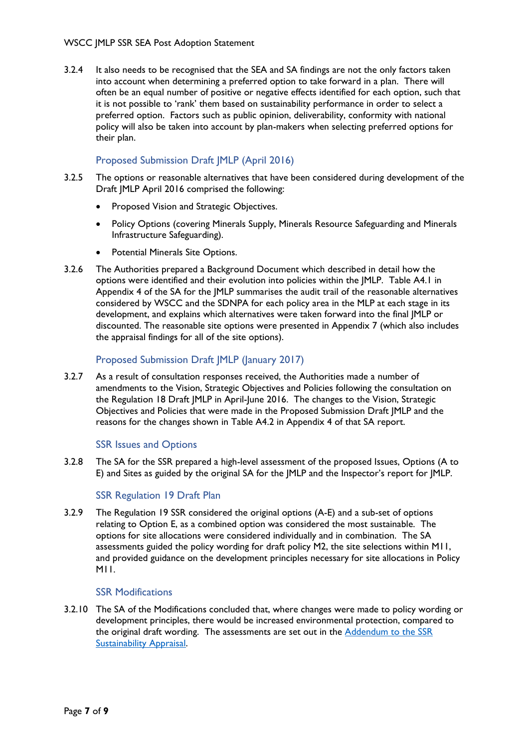3.2.4 It also needs to be recognised that the SEA and SA findings are not the only factors taken into account when determining a preferred option to take forward in a plan. There will often be an equal number of positive or negative effects identified for each option, such that it is not possible to 'rank' them based on sustainability performance in order to select a preferred option. Factors such as public opinion, deliverability, conformity with national policy will also be taken into account by plan-makers when selecting preferred options for their plan.

## Proposed Submission Draft JMLP (April 2016)

- 3.2.5 The options or reasonable alternatives that have been considered during development of the Draft JMLP April 2016 comprised the following:
	- Proposed Vision and Strategic Objectives.
	- Policy Options (covering Minerals Supply, Minerals Resource Safeguarding and Minerals Infrastructure Safeguarding).
	- Potential Minerals Site Options.
- 3.2.6 The Authorities prepared a Background Document which described in detail how the options were identified and their evolution into policies within the JMLP. Table A4.1 in Appendix 4 of the SA for the JMLP summarises the audit trail of the reasonable alternatives considered by WSCC and the SDNPA for each policy area in the MLP at each stage in its development, and explains which alternatives were taken forward into the final JMLP or discounted. The reasonable site options were presented in Appendix 7 (which also includes the appraisal findings for all of the site options).

## Proposed Submission Draft JMLP (January 2017)

3.2.7 As a result of consultation responses received, the Authorities made a number of amendments to the Vision, Strategic Objectives and Policies following the consultation on the Regulation 18 Draft JMLP in April-June 2016. The changes to the Vision, Strategic Objectives and Policies that were made in the Proposed Submission Draft JMLP and the reasons for the changes shown in Table A4.2 in Appendix 4 of that SA report.

### SSR Issues and Options

3.2.8 The SA for the SSR prepared a high-level assessment of the proposed Issues, Options (A to E) and Sites as guided by the original SA for the JMLP and the Inspector's report for JMLP.

### SSR Regulation 19 Draft Plan

3.2.9 The Regulation 19 SSR considered the original options (A-E) and a sub-set of options relating to Option E, as a combined option was considered the most sustainable. The options for site allocations were considered individually and in combination. The SA assessments guided the policy wording for draft policy M2, the site selections within M11, and provided guidance on the development principles necessary for site allocations in Policy M11.

### SSR Modifications

3.2.10 The SA of the Modifications concluded that, where changes were made to policy wording or development principles, there would be increased environmental protection, compared to the original draft wording. The assessments are set out in the [Addendum to the SSR](http://www2.westsussex.gov.uk/ssr/ex_md_003.pdf)  [Sustainability Appraisal.](http://www2.westsussex.gov.uk/ssr/ex_md_003.pdf)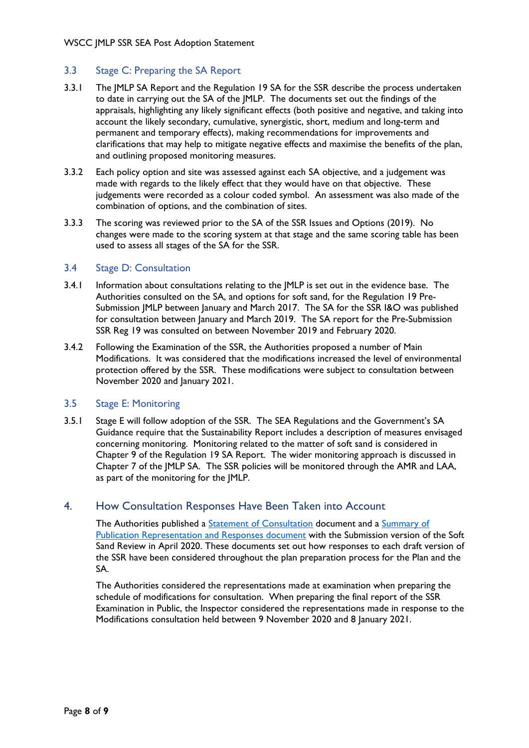# 3.3 Stage C: Preparing the SA Report

- 3.3.1 The JMLP SA Report and the Regulation 19 SA for the SSR describe the process undertaken to date in carrying out the SA of the JMLP. The documents set out the findings of the appraisals, highlighting any likely significant effects (both positive and negative, and taking into account the likely secondary, cumulative, synergistic, short, medium and long-term and permanent and temporary effects), making recommendations for improvements and clarifications that may help to mitigate negative effects and maximise the benefits of the plan, and outlining proposed monitoring measures.
- 3.3.2 Each policy option and site was assessed against each SA objective, and a judgement was made with regards to the likely effect that they would have on that objective. These judgements were recorded as a colour coded symbol. An assessment was also made of the combination of options, and the combination of sites.
- 3.3.3 The scoring was reviewed prior to the SA of the SSR Issues and Options (2019). No changes were made to the scoring system at that stage and the same scoring table has been used to assess all stages of the SA for the SSR.

### 3.4 Stage D: Consultation

- 3.4.1 Information about consultations relating to the JMLP is set out in the evidence base. The Authorities consulted on the SA, and options for soft sand, for the Regulation 19 Pre-Submission JMLP between January and March 2017. The SA for the SSR I&O was published for consultation between January and March 2019. The SA report for the Pre-Submission SSR Reg 19 was consulted on between November 2019 and February 2020.
- 3.4.2 Following the Examination of the SSR, the Authorities proposed a number of Main Modifications. It was considered that the modifications increased the level of environmental protection offered by the SSR. These modifications were subject to consultation between November 2020 and January 2021.

## 3.5 Stage E: Monitoring

3.5.1 Stage E will follow adoption of the SSR. The SEA Regulations and the Government's SA Guidance require that the Sustainability Report includes a description of measures envisaged concerning monitoring. Monitoring related to the matter of soft sand is considered in Chapter 9 of the Regulation 19 SA Report. The wider monitoring approach is discussed in Chapter 7 of the JMLP SA. The SSR policies will be monitored through the AMR and LAA, as part of the monitoring for the JMLP.

# 4. How Consultation Responses Have Been Taken into Account

The Authorities published a [Statement of Consultation](http://www2.westsussex.gov.uk/ssr/ssr_csd_004.pdf) document and a [Summary of](http://www2.westsussex.gov.uk/ssr/ssr_csd_005.pdf)  [Publication Representation and Responses document](http://www2.westsussex.gov.uk/ssr/ssr_csd_005.pdf) with the Submission version of the Soft Sand Review in April 2020. These documents set out how responses to each draft version of the SSR have been considered throughout the plan preparation process for the Plan and the SA.

The Authorities considered the representations made at examination when preparing the schedule of modifications for consultation. When preparing the final report of the SSR Examination in Public, the Inspector considered the representations made in response to the Modifications consultation held between 9 November 2020 and 8 January 2021.